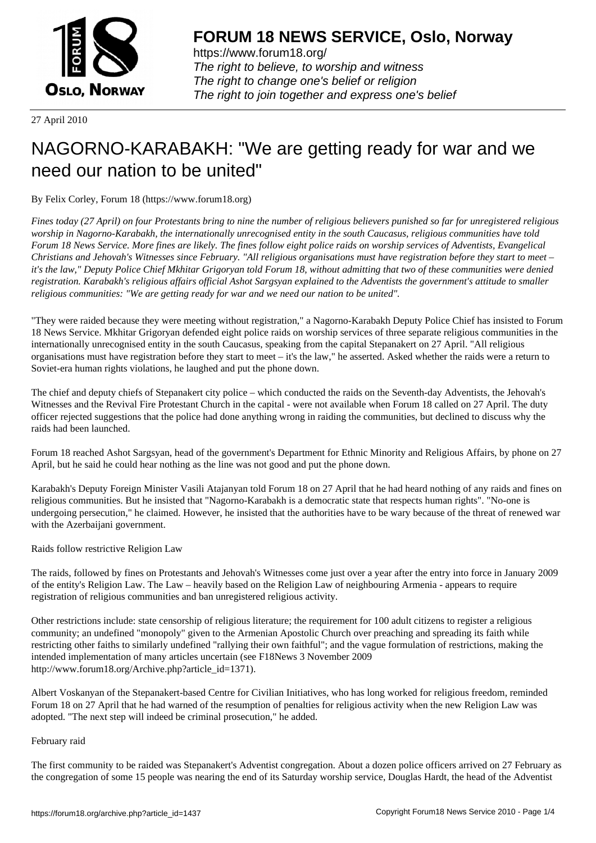

https://www.forum18.org/ The right to believe, to worship and witness The right to change one's belief or religion [The right to join together a](https://www.forum18.org/)nd express one's belief

27 April 2010

# [NAGORNO-KA](https://www.forum18.org)RABAKH: "We are getting ready for war and we need our nation to be united"

By Felix Corley, Forum 18 (https://www.forum18.org)

*Fines today (27 April) on four Protestants bring to nine the number of religious believers punished so far for unregistered religious worship in Nagorno-Karabakh, the internationally unrecognised entity in the south Caucasus, religious communities have told Forum 18 News Service. More fines are likely. The fines follow eight police raids on worship services of Adventists, Evangelical Christians and Jehovah's Witnesses since February. "All religious organisations must have registration before they start to meet – it's the law," Deputy Police Chief Mkhitar Grigoryan told Forum 18, without admitting that two of these communities were denied registration. Karabakh's religious affairs official Ashot Sargsyan explained to the Adventists the government's attitude to smaller religious communities: "We are getting ready for war and we need our nation to be united".*

"They were raided because they were meeting without registration," a Nagorno-Karabakh Deputy Police Chief has insisted to Forum 18 News Service. Mkhitar Grigoryan defended eight police raids on worship services of three separate religious communities in the internationally unrecognised entity in the south Caucasus, speaking from the capital Stepanakert on 27 April. "All religious organisations must have registration before they start to meet – it's the law," he asserted. Asked whether the raids were a return to Soviet-era human rights violations, he laughed and put the phone down.

The chief and deputy chiefs of Stepanakert city police – which conducted the raids on the Seventh-day Adventists, the Jehovah's Witnesses and the Revival Fire Protestant Church in the capital - were not available when Forum 18 called on 27 April. The duty officer rejected suggestions that the police had done anything wrong in raiding the communities, but declined to discuss why the raids had been launched.

Forum 18 reached Ashot Sargsyan, head of the government's Department for Ethnic Minority and Religious Affairs, by phone on 27 April, but he said he could hear nothing as the line was not good and put the phone down.

Karabakh's Deputy Foreign Minister Vasili Atajanyan told Forum 18 on 27 April that he had heard nothing of any raids and fines on religious communities. But he insisted that "Nagorno-Karabakh is a democratic state that respects human rights". "No-one is undergoing persecution," he claimed. However, he insisted that the authorities have to be wary because of the threat of renewed war with the Azerbaijani government.

Raids follow restrictive Religion Law

The raids, followed by fines on Protestants and Jehovah's Witnesses come just over a year after the entry into force in January 2009 of the entity's Religion Law. The Law – heavily based on the Religion Law of neighbouring Armenia - appears to require registration of religious communities and ban unregistered religious activity.

Other restrictions include: state censorship of religious literature; the requirement for 100 adult citizens to register a religious community; an undefined "monopoly" given to the Armenian Apostolic Church over preaching and spreading its faith while restricting other faiths to similarly undefined "rallying their own faithful"; and the vague formulation of restrictions, making the intended implementation of many articles uncertain (see F18News 3 November 2009 http://www.forum18.org/Archive.php?article\_id=1371).

Albert Voskanyan of the Stepanakert-based Centre for Civilian Initiatives, who has long worked for religious freedom, reminded Forum 18 on 27 April that he had warned of the resumption of penalties for religious activity when the new Religion Law was adopted. "The next step will indeed be criminal prosecution," he added.

## February raid

The first community to be raided was Stepanakert's Adventist congregation. About a dozen police officers arrived on 27 February as the congregation of some 15 people was nearing the end of its Saturday worship service, Douglas Hardt, the head of the Adventist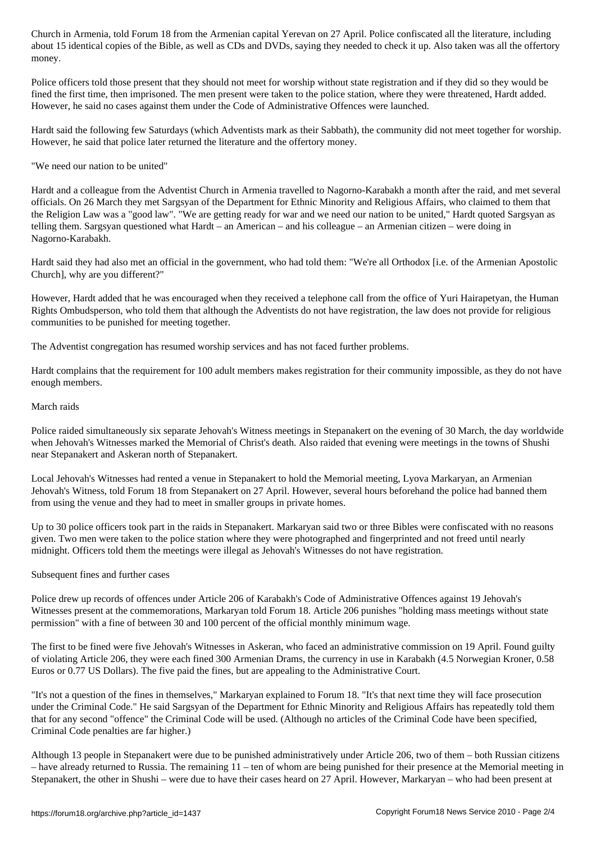about 15 identical copies of the Bible, as well as CDs and DVDs, saying they needed to check it up. Also taken was all the offertory money.

Police officers told those present that they should not meet for worship without state registration and if they did so they would be fined the first time, then imprisoned. The men present were taken to the police station, where they were threatened, Hardt added. However, he said no cases against them under the Code of Administrative Offences were launched.

Hardt said the following few Saturdays (which Adventists mark as their Sabbath), the community did not meet together for worship. However, he said that police later returned the literature and the offertory money.

"We need our nation to be united"

Hardt and a colleague from the Adventist Church in Armenia travelled to Nagorno-Karabakh a month after the raid, and met several officials. On 26 March they met Sargsyan of the Department for Ethnic Minority and Religious Affairs, who claimed to them that the Religion Law was a "good law". "We are getting ready for war and we need our nation to be united," Hardt quoted Sargsyan as telling them. Sargsyan questioned what Hardt – an American – and his colleague – an Armenian citizen – were doing in Nagorno-Karabakh.

Hardt said they had also met an official in the government, who had told them: "We're all Orthodox [i.e. of the Armenian Apostolic Church], why are you different?"

However, Hardt added that he was encouraged when they received a telephone call from the office of Yuri Hairapetyan, the Human Rights Ombudsperson, who told them that although the Adventists do not have registration, the law does not provide for religious communities to be punished for meeting together.

The Adventist congregation has resumed worship services and has not faced further problems.

Hardt complains that the requirement for 100 adult members makes registration for their community impossible, as they do not have enough members.

#### March raids

Police raided simultaneously six separate Jehovah's Witness meetings in Stepanakert on the evening of 30 March, the day worldwide when Jehovah's Witnesses marked the Memorial of Christ's death. Also raided that evening were meetings in the towns of Shushi near Stepanakert and Askeran north of Stepanakert.

Local Jehovah's Witnesses had rented a venue in Stepanakert to hold the Memorial meeting, Lyova Markaryan, an Armenian Jehovah's Witness, told Forum 18 from Stepanakert on 27 April. However, several hours beforehand the police had banned them from using the venue and they had to meet in smaller groups in private homes.

Up to 30 police officers took part in the raids in Stepanakert. Markaryan said two or three Bibles were confiscated with no reasons given. Two men were taken to the police station where they were photographed and fingerprinted and not freed until nearly midnight. Officers told them the meetings were illegal as Jehovah's Witnesses do not have registration.

#### Subsequent fines and further cases

Police drew up records of offences under Article 206 of Karabakh's Code of Administrative Offences against 19 Jehovah's Witnesses present at the commemorations, Markaryan told Forum 18. Article 206 punishes "holding mass meetings without state permission" with a fine of between 30 and 100 percent of the official monthly minimum wage.

The first to be fined were five Jehovah's Witnesses in Askeran, who faced an administrative commission on 19 April. Found guilty of violating Article 206, they were each fined 300 Armenian Drams, the currency in use in Karabakh (4.5 Norwegian Kroner, 0.58 Euros or 0.77 US Dollars). The five paid the fines, but are appealing to the Administrative Court.

"It's not a question of the fines in themselves," Markaryan explained to Forum 18. "It's that next time they will face prosecution under the Criminal Code." He said Sargsyan of the Department for Ethnic Minority and Religious Affairs has repeatedly told them that for any second "offence" the Criminal Code will be used. (Although no articles of the Criminal Code have been specified, Criminal Code penalties are far higher.)

Although 13 people in Stepanakert were due to be punished administratively under Article 206, two of them – both Russian citizens – have already returned to Russia. The remaining 11 – ten of whom are being punished for their presence at the Memorial meeting in Stepanakert, the other in Shushi – were due to have their cases heard on 27 April. However, Markaryan – who had been present at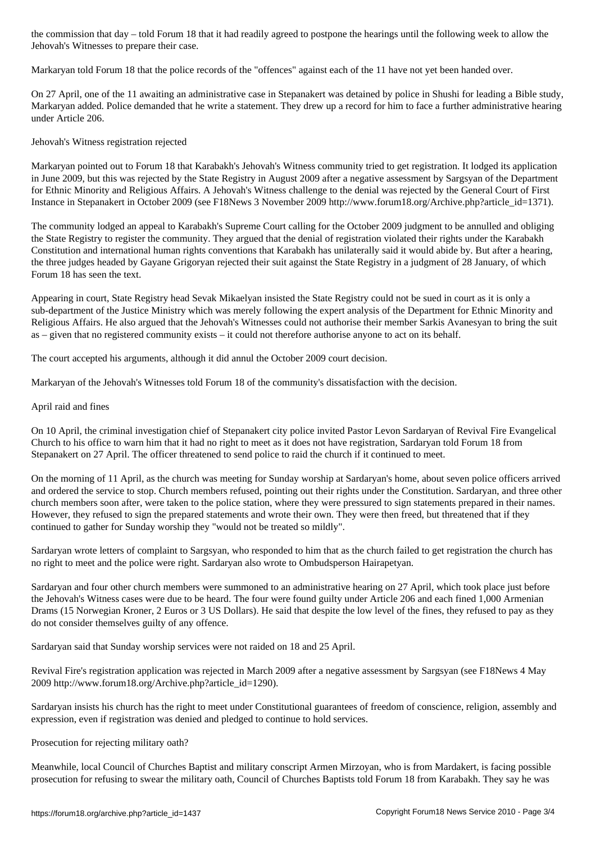Markaryan told Forum 18 that the police records of the "offences" against each of the 11 have not yet been handed over.

On 27 April, one of the 11 awaiting an administrative case in Stepanakert was detained by police in Shushi for leading a Bible study, Markaryan added. Police demanded that he write a statement. They drew up a record for him to face a further administrative hearing under Article 206.

### Jehovah's Witness registration rejected

Jehovah's Witnesses to prepare their case.

Markaryan pointed out to Forum 18 that Karabakh's Jehovah's Witness community tried to get registration. It lodged its application in June 2009, but this was rejected by the State Registry in August 2009 after a negative assessment by Sargsyan of the Department for Ethnic Minority and Religious Affairs. A Jehovah's Witness challenge to the denial was rejected by the General Court of First Instance in Stepanakert in October 2009 (see F18News 3 November 2009 http://www.forum18.org/Archive.php?article\_id=1371).

The community lodged an appeal to Karabakh's Supreme Court calling for the October 2009 judgment to be annulled and obliging the State Registry to register the community. They argued that the denial of registration violated their rights under the Karabakh Constitution and international human rights conventions that Karabakh has unilaterally said it would abide by. But after a hearing, the three judges headed by Gayane Grigoryan rejected their suit against the State Registry in a judgment of 28 January, of which Forum 18 has seen the text.

Appearing in court, State Registry head Sevak Mikaelyan insisted the State Registry could not be sued in court as it is only a sub-department of the Justice Ministry which was merely following the expert analysis of the Department for Ethnic Minority and Religious Affairs. He also argued that the Jehovah's Witnesses could not authorise their member Sarkis Avanesyan to bring the suit as – given that no registered community exists – it could not therefore authorise anyone to act on its behalf.

The court accepted his arguments, although it did annul the October 2009 court decision.

Markaryan of the Jehovah's Witnesses told Forum 18 of the community's dissatisfaction with the decision.

## April raid and fines

On 10 April, the criminal investigation chief of Stepanakert city police invited Pastor Levon Sardaryan of Revival Fire Evangelical Church to his office to warn him that it had no right to meet as it does not have registration, Sardaryan told Forum 18 from Stepanakert on 27 April. The officer threatened to send police to raid the church if it continued to meet.

On the morning of 11 April, as the church was meeting for Sunday worship at Sardaryan's home, about seven police officers arrived and ordered the service to stop. Church members refused, pointing out their rights under the Constitution. Sardaryan, and three other church members soon after, were taken to the police station, where they were pressured to sign statements prepared in their names. However, they refused to sign the prepared statements and wrote their own. They were then freed, but threatened that if they continued to gather for Sunday worship they "would not be treated so mildly".

Sardaryan wrote letters of complaint to Sargsyan, who responded to him that as the church failed to get registration the church has no right to meet and the police were right. Sardaryan also wrote to Ombudsperson Hairapetyan.

Sardaryan and four other church members were summoned to an administrative hearing on 27 April, which took place just before the Jehovah's Witness cases were due to be heard. The four were found guilty under Article 206 and each fined 1,000 Armenian Drams (15 Norwegian Kroner, 2 Euros or 3 US Dollars). He said that despite the low level of the fines, they refused to pay as they do not consider themselves guilty of any offence.

Sardaryan said that Sunday worship services were not raided on 18 and 25 April.

Revival Fire's registration application was rejected in March 2009 after a negative assessment by Sargsyan (see F18News 4 May 2009 http://www.forum18.org/Archive.php?article\_id=1290).

Sardaryan insists his church has the right to meet under Constitutional guarantees of freedom of conscience, religion, assembly and expression, even if registration was denied and pledged to continue to hold services.

Prosecution for rejecting military oath?

Meanwhile, local Council of Churches Baptist and military conscript Armen Mirzoyan, who is from Mardakert, is facing possible prosecution for refusing to swear the military oath, Council of Churches Baptists told Forum 18 from Karabakh. They say he was